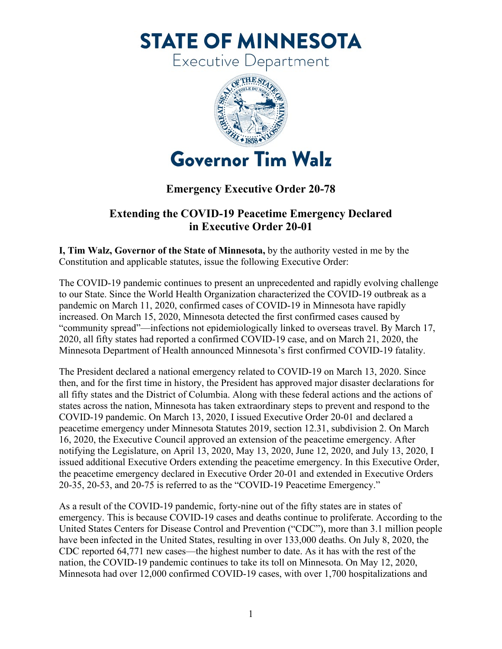**STATE OF MINNESOTA** 

Executive Department



## **Emergency Executive Order 20-78**

## **Extending the COVID-19 Peacetime Emergency Declared in Executive Order 20-01**

**I, Tim Walz, Governor of the State of Minnesota,** by the authority vested in me by the Constitution and applicable statutes, issue the following Executive Order:

The COVID-19 pandemic continues to present an unprecedented and rapidly evolving challenge to our State. Since the World Health Organization characterized the COVID-19 outbreak as a pandemic on March 11, 2020, confirmed cases of COVID-19 in Minnesota have rapidly increased. On March 15, 2020, Minnesota detected the first confirmed cases caused by "community spread"—infections not epidemiologically linked to overseas travel. By March 17, 2020, all fifty states had reported a confirmed COVID-19 case, and on March 21, 2020, the Minnesota Department of Health announced Minnesota's first confirmed COVID-19 fatality.

The President declared a national emergency related to COVID-19 on March 13, 2020. Since then, and for the first time in history, the President has approved major disaster declarations for all fifty states and the District of Columbia. Along with these federal actions and the actions of states across the nation, Minnesota has taken extraordinary steps to prevent and respond to the COVID-19 pandemic. On March 13, 2020, I issued Executive Order 20-01 and declared a peacetime emergency under Minnesota Statutes 2019, section 12.31, subdivision 2. On March 16, 2020, the Executive Council approved an extension of the peacetime emergency. After notifying the Legislature, on April 13, 2020, May 13, 2020, June 12, 2020, and July 13, 2020, I issued additional Executive Orders extending the peacetime emergency. In this Executive Order, the peacetime emergency declared in Executive Order 20-01 and extended in Executive Orders 20-35, 20-53, and 20-75 is referred to as the "COVID-19 Peacetime Emergency."

As a result of the COVID-19 pandemic, forty-nine out of the fifty states are in states of emergency. This is because COVID-19 cases and deaths continue to proliferate. According to the United States Centers for Disease Control and Prevention ("CDC"), more than 3.1 million people have been infected in the United States, resulting in over 133,000 deaths. On July 8, 2020, the CDC reported 64,771 new cases—the highest number to date. As it has with the rest of the nation, the COVID-19 pandemic continues to take its toll on Minnesota. On May 12, 2020, Minnesota had over 12,000 confirmed COVID-19 cases, with over 1,700 hospitalizations and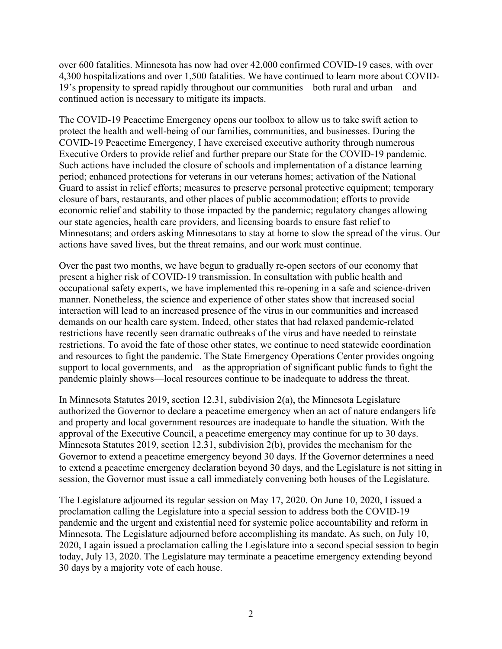over 600 fatalities. Minnesota has now had over 42,000 confirmed COVID-19 cases, with over 4,300 hospitalizations and over 1,500 fatalities. We have continued to learn more about COVID-19's propensity to spread rapidly throughout our communities—both rural and urban—and continued action is necessary to mitigate its impacts.

The COVID-19 Peacetime Emergency opens our toolbox to allow us to take swift action to protect the health and well-being of our families, communities, and businesses. During the COVID-19 Peacetime Emergency, I have exercised executive authority through numerous Executive Orders to provide relief and further prepare our State for the COVID-19 pandemic. Such actions have included the closure of schools and implementation of a distance learning period; enhanced protections for veterans in our veterans homes; activation of the National Guard to assist in relief efforts; measures to preserve personal protective equipment; temporary closure of bars, restaurants, and other places of public accommodation; efforts to provide economic relief and stability to those impacted by the pandemic; regulatory changes allowing our state agencies, health care providers, and licensing boards to ensure fast relief to Minnesotans; and orders asking Minnesotans to stay at home to slow the spread of the virus. Our actions have saved lives, but the threat remains, and our work must continue.

Over the past two months, we have begun to gradually re-open sectors of our economy that present a higher risk of COVID-19 transmission. In consultation with public health and occupational safety experts, we have implemented this re-opening in a safe and science-driven manner. Nonetheless, the science and experience of other states show that increased social interaction will lead to an increased presence of the virus in our communities and increased demands on our health care system. Indeed, other states that had relaxed pandemic-related restrictions have recently seen dramatic outbreaks of the virus and have needed to reinstate restrictions. To avoid the fate of those other states, we continue to need statewide coordination and resources to fight the pandemic. The State Emergency Operations Center provides ongoing support to local governments, and—as the appropriation of significant public funds to fight the pandemic plainly shows—local resources continue to be inadequate to address the threat.

In Minnesota Statutes 2019, section 12.31, subdivision 2(a), the Minnesota Legislature authorized the Governor to declare a peacetime emergency when an act of nature endangers life and property and local government resources are inadequate to handle the situation. With the approval of the Executive Council, a peacetime emergency may continue for up to 30 days. Minnesota Statutes 2019, section 12.31, subdivision 2(b), provides the mechanism for the Governor to extend a peacetime emergency beyond 30 days. If the Governor determines a need to extend a peacetime emergency declaration beyond 30 days, and the Legislature is not sitting in session, the Governor must issue a call immediately convening both houses of the Legislature.

The Legislature adjourned its regular session on May 17, 2020. On June 10, 2020, I issued a proclamation calling the Legislature into a special session to address both the COVID-19 pandemic and the urgent and existential need for systemic police accountability and reform in Minnesota. The Legislature adjourned before accomplishing its mandate. As such, on July 10, 2020, I again issued a proclamation calling the Legislature into a second special session to begin today, July 13, 2020. The Legislature may terminate a peacetime emergency extending beyond 30 days by a majority vote of each house.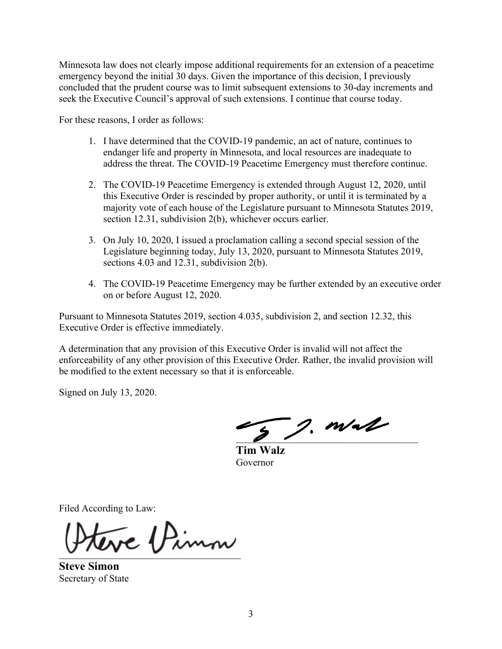Minnesota law does not clearly impose additional requirements for an extension of a peacetime emergency beyond the initial 30 days. Given the importance of this decision, I previously concluded that the prudent course was to limit subsequent extensions to 30-day increments and seek the Executive Council's approval of such extensions. I continue that course today.

For these reasons, I order as follows:

- 1. I have determined that the COVID-19 pandemic, an act of nature, continues to endanger life and property in Minnesota, and local resources are inadequate to address the threat. The COVID-19 Peacetime Emergency must therefore continue.
- 2. The COVID-19 Peacetime Emergency is extended through August 12, 2020, until this Executive Order is rescinded by proper authority, or until it is terminated by a majority vote of each house of the Legislature pursuant to Minnesota Statutes 2019, section 12.31, subdivision 2(b), whichever occurs earlier.
- 3. On July 10, 2020, I issued a proclamation calling a second special session of the Legislature beginning today, July 13, 2020, pursuant to Minnesota Statutes 2019, sections 4.03 and 12.31, subdivision 2(b).
- 4. The COVID-19 Peacetime Emergency may be further extended by an executive order on or before August 12, 2020.

Pursuant to Minnesota Statutes 2019, section 4.035, subdivision 2, and section 12.32, this Executive Order is effective immediately.

A determination that any provision of this Executive Order is invalid will not affect the enforceability of any other provision of this Executive Order. Rather, the invalid provision will be modified to the extent necessary so that it is enforceable.

Signed on July 13, 2020.

 $\overline{2}$ , m/al

**Tim Walz** Governor

Filed According to Law:

\_\_\_\_\_\_\_\_\_\_\_\_\_\_\_\_\_\_\_\_\_\_\_\_\_\_\_\_\_\_\_\_\_\_\_\_\_

**Steve Simon** Secretary of State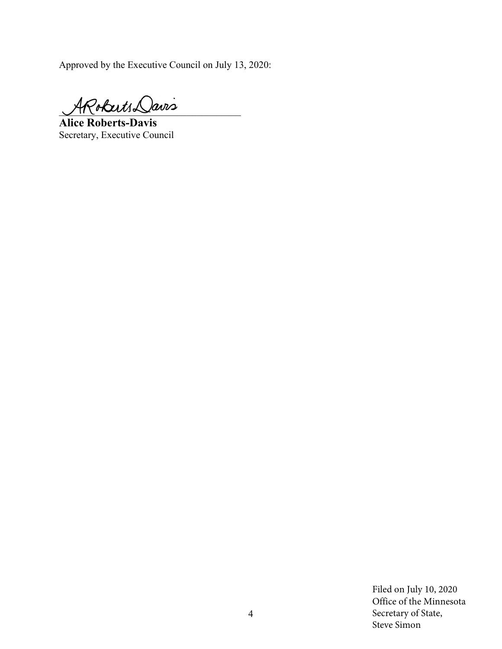Approved by the Executive Council on July 13, 2020:

 $4$ Robuts Davis

**Alice Roberts-Davis** Secretary, Executive Council

Filed on July 10, 2020 Office of the Minnesota Secretary of State, Steve Simon